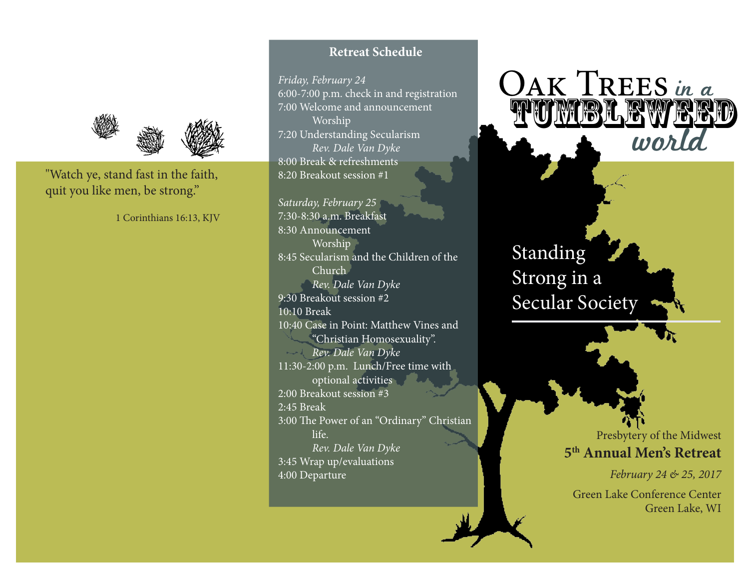

"Watch ye, stand fast in the faith, quit you like men, be strong."

1 Corinthians 16:13, KJV

#### **Retreat Schedule**

*Friday, February 24* 6:00-7:00 p.m. check in and registration 7:00 Welcome and announcement Worship 7:20 Understanding Secularism *Rev. Dale Van Dyke* 8:00 Break & refreshments 8:20 Breakout session #1

*Saturday, February 25* 7:30-8:30 a.m. Breakfast 8:30 Announcement Worship 8:45 Secularism and the Children of the Church *Rev. Dale Van Dyke* 9:30 Breakout session #2 10:10 Break 10:40 Case in Point: Matthew Vines and "Christian Homosexuality". *Rev. Dale Van Dyke* 11:30-2:00 p.m. Lunch/Free time with optional activities 2:00 Breakout session #3 2:45 Break 3:00 The Power of an "Ordinary" Christian life. *Rev. Dale Van Dyke* 3:45 Wrap up/evaluations 4:00 Departure

# OAK TREES in a TUMBLEWEED

Standing Strong in a Secular Society

> Presbytery of the Midwest **5th Annual Men's Retreat**

> > *February 24 & 25, 2017*

Green Lake Conference Center Green Lake, WI